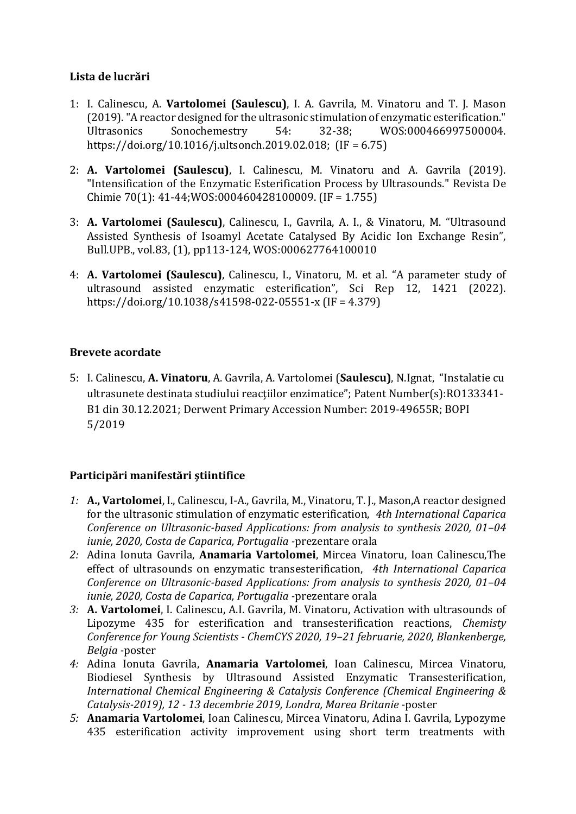## **Lista de lucrări**

- 1: I. Calinescu, A. **Vartolomei (Saulescu)**, I. A. Gavrila, M. Vinatoru and T. J. Mason (2019). "A reactor designed for the ultrasonic stimulation of enzymatic esterification." Ultrasonics Sonochemestry 54: 32-38; WOS:000466997500004. https://doi.org/10.1016/j.ultsonch.2019.02.018; (IF = 6.75)
- 2: **A. Vartolomei (Saulescu)**, I. Calinescu, M. Vinatoru and A. Gavrila (2019). "Intensification of the Enzymatic Esterification Process by Ultrasounds." Revista De Chimie 70(1): 41-44;WOS:000460428100009. (IF = 1.755)
- 3: **A. Vartolomei (Saulescu)**, Calinescu, I., Gavrila, A. I., & Vinatoru, M. "Ultrasound Assisted Synthesis of Isoamyl Acetate Catalysed By Acidic Ion Exchange Resin", Bull.UPB., vol.83, (1), pp113-124, WOS:000627764100010
- 4: **A. Vartolomei (Saulescu)**, Calinescu, I., Vinatoru, M. et al. "A parameter study of ultrasound assisted enzymatic esterification", Sci Rep 12, 1421 (2022). https://doi.org/10.1038/s41598-022-05551-x (IF = 4.379)

## **Brevete acordate**

5: I. Calinescu, **A. Vinatoru**, A. Gavrila, A. Vartolomei (**Saulescu)**, N.Ignat, "Instalatie cu ultrasunete destinata studiului reacțiilor enzimatice"; Patent Number(s):RO133341-B1 din 30.12.2021; Derwent Primary Accession Number: 2019-49655R; BOPI 5/2019

## **Participări manifestări ştiintifice**

- *1:* **A., Vartolomei**, I., Calinescu, I-A., Gavrila, M., Vinatoru, T. J., Mason,A reactor designed for the ultrasonic stimulation of enzymatic esterification, *4th International Caparica Conference on Ultrasonic-based Applications: from analysis to synthesis 2020, 01–04 iunie, 2020, Costa de Caparica, Portugalia -*prezentare orala
- *2:* Adina Ionuta Gavrila, **Anamaria Vartolomei**, Mircea Vinatoru, Ioan Calinescu,The effect of ultrasounds on enzymatic transesterification, *4th International Caparica Conference on Ultrasonic-based Applications: from analysis to synthesis 2020, 01–04 iunie, 2020, Costa de Caparica, Portugalia -*prezentare orala
- *3:* **A. Vartolomei**, I. Calinescu, A.I. Gavrila, M. Vinatoru, Activation with ultrasounds of Lipozyme 435 for esterification and transesterification reactions, *Chemisty Conference for Young Scientists - ChemCYS 2020, 19–21 februarie, 2020, Blankenberge, Belgia -*poster
- *4:* Adina Ionuta Gavrila, **Anamaria Vartolomei**, Ioan Calinescu, Mircea Vinatoru, Biodiesel Synthesis by Ultrasound Assisted Enzymatic Transesterification, *International Chemical Engineering & Catalysis Conference (Chemical Engineering & Catalysis-2019), 12 - 13 decembrie 2019, Londra, Marea Britanie -*poster
- *5:* **Anamaria Vartolomei**, Ioan Calinescu, Mircea Vinatoru, Adina I. Gavrila, Lypozyme 435 esterification activity improvement using short term treatments with